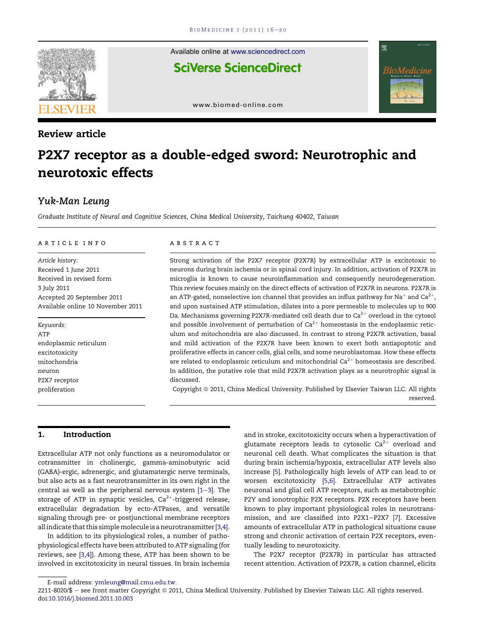

Review article

Available online at [www.sciencedirect.com](www.sciencedirect.com/science/journal/22118020) **SciVerse ScienceDirect** 



[www.biomed-online.com](http://www.biomed-online.com)

# P2X7 receptor as a double-edged sword: Neurotrophic and neurotoxic effects

س<br>Graduate Institute of Neural and Cognitive Sciences, China Medical University, Taichung 40402, Taiwan

#### article info

Article history: Received 1 June 2011 Received in revised form 3 July 2011 Accepted 20 September 2011 Available online 10 November 2011

Keywords: ATP endoplasmic reticulum excitotoxicity mitochondria neuron P2X7 receptor proliferation

#### abstract

Strong activation of the P2X7 receptor (P2X7R) by extracellular ATP is excitotoxic to neurons during brain ischemia or in spinal cord injury. In addition, activation of P2X7R in microglia is known to cause neuroinflammation and consequently neurodegeneration. This review focuses mainly on the direct effects of activation of P2X7R in neurons. P2X7R is an ATP-gated, nonselective ion channel that provides an influx pathway for Na<sup>+</sup> and Ca<sup>2+</sup>, and upon sustained ATP stimulation, dilates into a pore permeable to molecules up to 900 Da. Mechanisms governing P2X7R-mediated cell death due to  $Ca^{2+}$  overload in the cytosol and possible involvement of perturbation of  $Ca^{2+}$  homeostasis in the endoplasmic reticulum and mitochondria are also discussed. In contrast to strong P2X7R activation, basal and mild activation of the P2X7R have been known to exert both antiapoptotic and proliferative effects in cancer cells, glial cells, and some neuroblastomas. How these effects are related to endoplasmic reticulum and mitochondrial Ca $^{2+}$  homeostasis are described. In addition, the putative role that mild P2X7R activation plays as a neurotrophic signal is discussed.

Copyright © 2011, China Medical University. Published by Elsevier Taiwan LLC. All rights reserved.

## 1. Introduction

Extracellular ATP not only functions as a neuromodulator or cotransmitter in cholinergic, gamma-aminobutyric acid (GABA)-ergic, adrenergic, and glutamatergic nerve terminals, but also acts as a fast neurotransmitter in its own right in the central as well as the peripheral nervous system  $[1-3]$  $[1-3]$ . The storage of ATP in synaptic vesicles,  $Ca^{2+}$ -triggered release, extracellular degradation by ecto-ATPases, and versatile signaling through pre- or postjunctional membrane receptors all indicate that this simplemolecule is a neurotransmitter [\[3,4\]](#page-3-0).

In addition to its physiological roles, a number of pathophysiological effects have been attributed to ATP signaling (for reviews, see [\[3,4\]](#page-3-0)). Among these, ATP has been shown to be involved in excitotoxicity in neural tissues. In brain ischemia and in stroke, excitotoxicity occurs when a hyperactivation of glutamate receptors leads to cytosolic  $Ca^{2+}$  overload and neuronal cell death. What complicates the situation is that during brain ischemia/hypoxia, extracellular ATP levels also increase [\[5\]](#page-3-0). Pathologically high levels of ATP can lead to or worsen excitotoxicity [\[5,6\].](#page-3-0) Extracellular ATP activates neuronal and glial cell ATP receptors, such as metabotrophic P2Y and ionotrophic P2X receptors. P2X receptors have been known to play important physiological roles in neurotrans-mission, and are classified into P2X1-P2X7 [\[7\]](#page-3-0). Excessive amounts of extracellular ATP in pathological situations cause strong and chronic activation of certain P2X receptors, eventually leading to neurotoxicity.

The P2X7 receptor (P2X7R) in particular has attracted recent attention. Activation of P2X7R, a cation channel, elicits

E-mail address: [ymleung@mail.cmu.edu.tw](mailto:ymleung@mail.cmu.edu.tw).

<sup>2211-8020/\$ -</sup> see front matter Copyright @ 2011, China Medical University. Published by Elsevier Taiwan LLC. All rights reserved. doi:[10.1016/j.biomed.2011.10.003](http://dx.doi.org/10.1016/j.biomed.2011.10.003)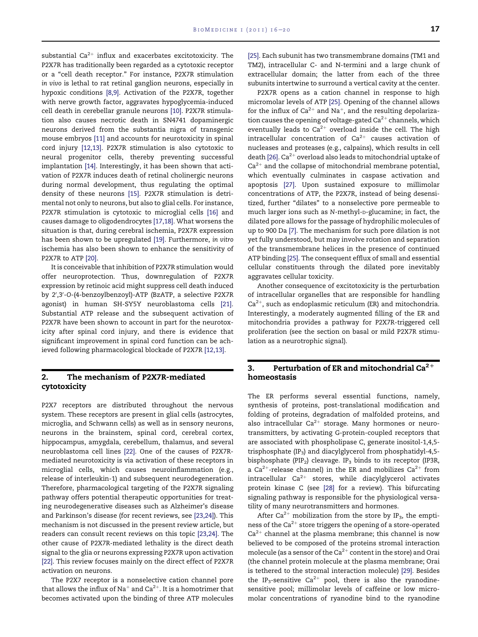substantial  $Ca^{2+}$  influx and exacerbates excitotoxicity. The P2X7R has traditionally been regarded as a cytotoxic receptor or a "cell death receptor." For instance, P2X7R stimulation in vivo is lethal to rat retinal ganglion neurons, especially in hypoxic conditions [\[8,9\]](#page-3-0). Activation of the P2X7R, together with nerve growth factor, aggravates hypoglycemia-induced cell death in cerebellar granule neurons [\[10\]](#page-4-0). P2X7R stimulation also causes necrotic death in SN4741 dopaminergic neurons derived from the substantia nigra of transgenic mouse embryos [\[11\]](#page-4-0) and accounts for neurotoxicity in spinal cord injury [\[12,13\]](#page-4-0). P2X7R stimulation is also cytotoxic to neural progenitor cells, thereby preventing successful implantation [\[14\]](#page-4-0). Interestingly, it has been shown that activation of P2X7R induces death of retinal cholinergic neurons during normal development, thus regulating the optimal density of these neurons [\[15\]](#page-4-0). P2X7R stimulation is detrimental not only to neurons, but also to glial cells. For instance, P2X7R stimulation is cytotoxic to microglial cells [\[16\]](#page-4-0) and causes damage to oligodendrocytes [\[17,18\].](#page-4-0) What worsens the situation is that, during cerebral ischemia, P2X7R expression has been shown to be upregulated [\[19\]](#page-4-0). Furthermore, in vitro ischemia has also been shown to enhance the sensitivity of P2X7R to ATP [\[20\]](#page-4-0).

It is conceivable that inhibition of P2X7R stimulation would offer neuroprotection. Thus, downregulation of P2X7R expression by retinoic acid might suppress cell death induced by 2′,3′-O-(4-benzoylbenzoyl)-ATP (BzATP, a selective P2X7R agonist) in human SH-SY5Y neuroblastoma cells [\[21\].](#page-4-0) Substantial ATP release and the subsequent activation of P2X7R have been shown to account in part for the neurotoxicity after spinal cord injury, and there is evidence that significant improvement in spinal cord function can be achieved following pharmacological blockade of P2X7R [\[12,13\].](#page-4-0)

# 2. The mechanism of P2X7R-mediated cytotoxicity

P2X7 receptors are distributed throughout the nervous system. These receptors are present in glial cells (astrocytes, microglia, and Schwann cells) as well as in sensory neurons, neurons in the brainstem, spinal cord, cerebral cortex, hippocampus, amygdala, cerebellum, thalamus, and several neuroblastoma cell lines [\[22\]](#page-4-0). One of the causes of P2X7Rmediated neurotoxicity is via activation of these receptors in microglial cells, which causes neuroinflammation (e.g., release of interleukin-1) and subsequent neurodegeneration. Therefore, pharmacological targeting of the P2X7R signaling pathway offers potential therapeutic opportunities for treating neurodegenerative diseases such as Alzheimer's disease and Parkinson's disease (for recent reviews, see [\[23,24\]\)](#page-4-0). This mechanism is not discussed in the present review article, but readers can consult recent reviews on this topic [\[23,24\].](#page-4-0) The other cause of P2X7R-mediated lethality is the direct death signal to the glia or neurons expressing P2X7R upon activation [\[22\].](#page-4-0) This review focuses mainly on the direct effect of P2X7R activation on neurons.

The P2X7 receptor is a nonselective cation channel pore that allows the influx of Na<sup>+</sup> and Ca<sup>2+</sup>. It is a homotrimer that becomes activated upon the binding of three ATP molecules

[\[25\].](#page-4-0) Each subunit has two transmembrane domains (TM1 and TM2), intracellular C- and N-termini and a large chunk of extracellular domain; the latter from each of the three subunits intertwine to surround a vertical cavity at the center.

P2X7R opens as a cation channel in response to high micromolar levels of ATP [\[25\].](#page-4-0) Opening of the channel allows for the influx of  $Ca^{2+}$  and Na<sup>+</sup>, and the resulting depolarization causes the opening of voltage-gated  $\text{Ca}^{2+}$  channels, which eventually leads to  $Ca^{2+}$  overload inside the cell. The high intracellular concentration of  $Ca^{2+}$  causes activation of nucleases and proteases (e.g., calpains), which results in cell death [\[26\].](#page-4-0)  $Ca^{2+}$  overload also leads to mitochondrial uptake of  $Ca^{2+}$  and the collapse of mitochondrial membrane potential, which eventually culminates in caspase activation and apoptosis [\[27\]](#page-4-0). Upon sustained exposure to millimolar concentrations of ATP, the P2X7R, instead of being desensitized, further "dilates" to a nonselective pore permeable to much larger ions such as N-methyl-D-glucamine; in fact, the dilated pore allows for the passage of hydrophilic molecules of up to 900 Da [\[7\]](#page-3-0). The mechanism for such pore dilation is not yet fully understood, but may involve rotation and separation of the transmembrane helices in the presence of continued ATP binding [\[25\].](#page-4-0) The consequent efflux of small and essential cellular constituents through the dilated pore inevitably aggravates cellular toxicity.

Another consequence of excitotoxicity is the perturbation of intracellular organelles that are responsible for handling  $Ca^{2+}$ , such as endoplasmic reticulum (ER) and mitochondria. Interestingly, a moderately augmented filling of the ER and mitochondria provides a pathway for P2X7R-triggered cell proliferation (see the section on basal or mild P2X7R stimulation as a neurotrophic signal).

# 3. Perturbation of ER and mitochondrial  $Ca^{2+}$ homeostasis

The ER performs several essential functions, namely, synthesis of proteins, post-translational modification and folding of proteins, degradation of malfolded proteins, and also intracellular  $Ca^{2+}$  storage. Many hormones or neurotransmitters, by activating G-protein-coupled receptors that are associated with phospholipase C, generate inositol-1,4,5 trisphosphate (IP<sub>3</sub>) and diacylglycerol from phosphatidyl-4,5bisphosphate (PIP<sub>2</sub>) cleavage. IP<sub>3</sub> binds to its receptor (IP3R, a Ca<sup>2+</sup>-release channel) in the ER and mobilizes Ca<sup>2+</sup> from intracellular  $Ca^{2+}$  stores, while diacylglycerol activates protein kinase C (see [\[28\]](#page-4-0) for a review). This bifurcating signaling pathway is responsible for the physiological versatility of many neurotransmitters and hormones.

After Ca<sup>2+</sup> mobilization from the store by IP<sub>3</sub>, the emptiness of the  $Ca^{2+}$  store triggers the opening of a store-operated  $Ca<sup>2+</sup>$  channel at the plasma membrane; this channel is now believed to be composed of the proteins stromal interaction molecule (as a sensor of the Ca<sup>2+</sup> content in the store) and Orai (the channel protein molecule at the plasma membrane; Orai is tethered to the stromal interaction molecule) [\[29\].](#page-4-0) Besides the IP<sub>3</sub>-sensitive Ca<sup>2+</sup> pool, there is also the ryanodinesensitive pool; millimolar levels of caffeine or low micromolar concentrations of ryanodine bind to the ryanodine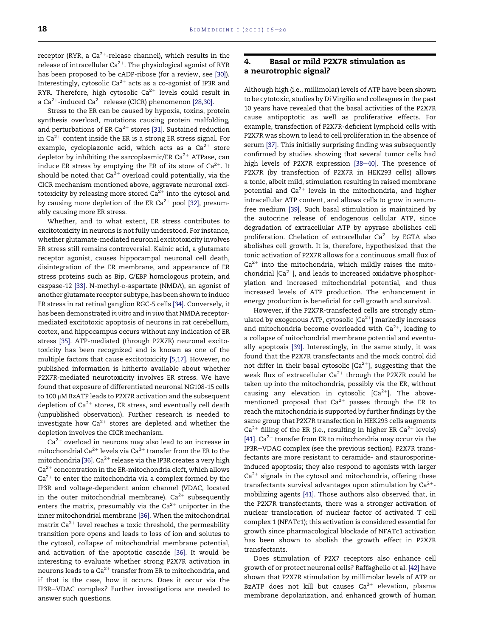receptor (RYR, a  $Ca^{2+}$ -release channel), which results in the release of intracellular  $Ca^{2+}$ . The physiological agonist of RYR has been proposed to be cADP-ribose (for a review, see [\[30\]\)](#page-4-0). Interestingly, cytosolic  $Ca^{2+}$  acts as a co-agonist of IP3R and RYR. Therefore, high cytosolic  $Ca^{2+}$  levels could result in a Ca<sup>2+</sup>-induced Ca<sup>2+</sup> release (CICR) phenomenon [\[28,30\].](#page-4-0)

Stress to the ER can be caused by hypoxia, toxins, protein synthesis overload, mutations causing protein malfolding, and perturbations of ER Ca<sup>2+</sup> stores [\[31\].](#page-4-0) Sustained reduction in  $Ca^{2+}$  content inside the ER is a strong ER stress signal. For example, cyclopiazonic acid, which acts as a  $Ca^{2+}$  store depletor by inhibiting the sarcoplasmic/ER  $Ca^{2+}$  ATPase, can induce ER stress by emptying the ER of its store of  $Ca^{2+}$ . It should be noted that  $Ca^{2+}$  overload could potentially, via the CICR mechanism mentioned above, aggravate neuronal excitotoxicity by releasing more stored  $Ca^{2+}$  into the cytosol and by causing more depletion of the ER Ca<sup>2+</sup> pool [\[32\]](#page-4-0), presumably causing more ER stress.

Whether, and to what extent, ER stress contributes to excitotoxicity in neurons is not fully understood. For instance, whether glutamate-mediated neuronal excitotoxicity involves ER stress still remains controversial. Kainic acid, a glutamate receptor agonist, causes hippocampal neuronal cell death, disintegration of the ER membrane, and appearance of ER stress proteins such as Bip, C/EBP homologous protein, and caspase-12 [\[33\]](#page-4-0). N-methyl-D-aspartate (NMDA), an agonist of another glutamate receptor subtype, has been shown to induce ER stress in rat retinal ganglion RGC-5 cells [\[34\]](#page-4-0). Conversely, it has been demonstrated in vitro and in vivo that NMDA receptormediated excitotoxic apoptosis of neurons in rat cerebellum, cortex, and hippocampus occurs without any indication of ER stress [\[35\]](#page-4-0). ATP-mediated (through P2X7R) neuronal excitotoxicity has been recognized and is known as one of the multiple factors that cause excitotoxicity [\[5,17\].](#page-3-0) However, no published information is hitherto available about whether P2X7R-mediated neurotoxicity involves ER stress. We have found that exposure of differentiated neuronal NG108-15 cells to 100 µM BzATP leads to P2X7R activation and the subsequent depletion of  $Ca^{2+}$  stores, ER stress, and eventually cell death (unpublished observation). Further research is needed to investigate how  $Ca^{2+}$  stores are depleted and whether the depletion involves the CICR mechanism.

 $\rm Ca^{2+}$  overload in neurons may also lead to an increase in mitochondrial Ca $^{2+}$  levels via Ca $^{2+}$  transfer from the ER to the mitochondria [\[36\].](#page-4-0)  $Ca^{2+}$  release via the IP3R creates a very high  $Ca<sup>2+</sup>$  concentration in the ER-mitochondria cleft, which allows  $Ca^{2+}$  to enter the mitochondria via a complex formed by the IP3R and voltage-dependent anion channel (VDAC, located in the outer mitochondrial membrane).  $Ca^{2+}$  subsequently enters the matrix, presumably via the  $Ca^{2+}$  uniporter in the inner mitochondrial membrane [\[36\]](#page-4-0). When the mitochondrial matrix  $Ca^{2+}$  level reaches a toxic threshold, the permeability transition pore opens and leads to loss of ion and solutes to the cytosol, collapse of mitochondrial membrane potential, and activation of the apoptotic cascade [\[36\].](#page-4-0) It would be interesting to evaluate whether strong P2X7R activation in neurons leads to a  $Ca^{2+}$  transfer from ER to mitochondria, and if that is the case, how it occurs. Does it occur via the IP3R-VDAC complex? Further investigations are needed to answer such questions.

### 4. Basal or mild P2X7R stimulation as a neurotrophic signal?

Although high (i.e., millimolar) levels of ATP have been shown to be cytotoxic, studies by Di Virgilio and colleagues in the past 10 years have revealed that the basal activities of the P2X7R cause antipoptotic as well as proliferative effects. For example, transfection of P2X7R-deficient lymphoid cells with P2X7R was shown to lead to cell proliferation in the absence of serum [\[37\]](#page-4-0). This initially surprising finding was subsequently confirmed by studies showing that several tumor cells had high levels of P2X7R expression [\[38](#page-4-0)-[40\].](#page-4-0) The presence of P2X7R (by transfection of P2X7R in HEK293 cells) allows a tonic, albeit mild, stimulation resulting in raised membrane potential and  $Ca^{2+}$  levels in the mitochondria, and higher intracellular ATP content, and allows cells to grow in serumfree medium [\[39\]](#page-4-0). Such basal stimulation is maintained by the autocrine release of endogenous cellular ATP, since degradation of extracellular ATP by apyrase abolishes cell proliferation. Chelation of extracellular  $Ca^{2+}$  by EGTA also abolishes cell growth. It is, therefore, hypothesized that the tonic activation of P2X7R allows for a continuous small flux of  $Ca^{2+}$  into the mitochondria, which mildly raises the mitochondrial  $[Ca^{2+}]$ , and leads to increased oxidative phosphorylation and increased mitochondrial potential, and thus increased levels of ATP production. The enhancement in energy production is beneficial for cell growth and survival.

However, if the P2X7R-transfected cells are strongly stimulated by exogenous ATP, cytosolic  $[Ca^{2+}]$  markedly increases and mitochondria become overloaded with  $Ca^{2+}$ , leading to a collapse of mitochondrial membrane potential and eventually apoptosis [\[39\]](#page-4-0). Interestingly, in the same study, it was found that the P2X7R transfectants and the mock control did not differ in their basal cytosolic  $[Ca^{2+}]$ , suggesting that the weak flux of extracellular  $Ca^{2+}$  through the P2X7R could be taken up into the mitochondria, possibly via the ER, without causing any elevation in cytosolic  $[Ca^{2+}]$ . The abovementioned proposal that  $Ca^{2+}$  passes through the ER to reach the mitochondria is supported by further findings by the same group that P2X7R transfection in HEK293 cells augments  $Ca^{2+}$  filling of the ER (i.e., resulting in higher ER  $Ca^{2+}$  levels) [\[41\]](#page-4-0).  $Ca^{2+}$  transfer from ER to mitochondria may occur via the IP3R-VDAC complex (see the previous section). P2X7R transfectants are more resistant to ceramide- and staurosporineinduced apoptosis; they also respond to agonists with larger  $Ca<sup>2+</sup>$  signals in the cytosol and mitochondria, offering these transfectants survival advantages upon stimulation by  $Ca^{2+}$ mobilizing agents [\[41\]](#page-4-0). Those authors also observed that, in the P2X7R transfectants, there was a stronger activation of nuclear translocation of nuclear factor of activated T cell complex 1 (NFATc1); this activation is considered essential for growth since pharmacological blockade of NFATc1 activation has been shown to abolish the growth effect in P2X7R transfectants.

Does stimulation of P2X7 receptors also enhance cell growth of or protect neuronal cells? Raffaghello et al. [\[42\]](#page-4-0) have shown that P2X7R stimulation by millimolar levels of ATP or BzATP does not kill but causes  $Ca^{2+}$  elevation, plasma membrane depolarization, and enhanced growth of human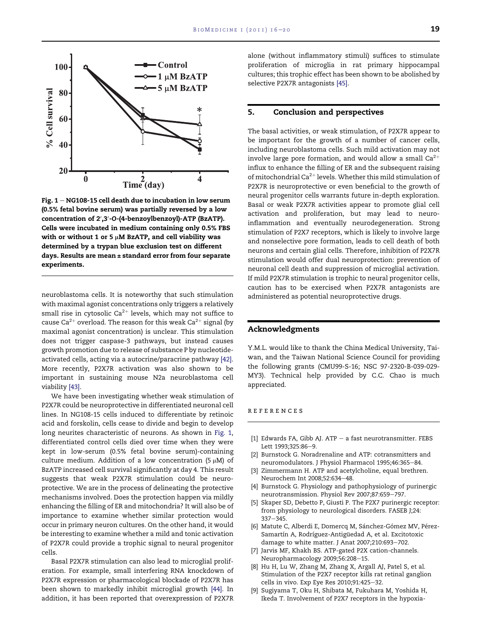<span id="page-3-0"></span>

Fig.  $1 - NG108-15$  cell death due to incubation in low serum (0.5% fetal bovine serum) was partially reversed by a low concentration of 2′,3′-O-(4-benzoylbenzoyl)-ATP (BzATP). Cells were incubated in medium containing only 0.5% FBS with or without 1 or 5  $\mu$ M BzATP, and cell viability was determined by a trypan blue exclusion test on different days. Results are mean ± standard error from four separate experiments.

neuroblastoma cells. It is noteworthy that such stimulation with maximal agonist concentrations only triggers a relatively small rise in cytosolic  $Ca^{2+}$  levels, which may not suffice to cause Ca<sup>2+</sup> overload. The reason for this weak Ca<sup>2+</sup> signal (by maximal agonist concentration) is unclear. This stimulation does not trigger caspase-3 pathways, but instead causes growth promotion due to release of substance P by nucleotideactivated cells, acting via a autocrine/paracrine pathway [\[42\].](#page-4-0) More recently, P2X7R activation was also shown to be important in sustaining mouse N2a neuroblastoma cell viability [\[43\]](#page-4-0).

We have been investigating whether weak stimulation of P2X7R could be neuroprotective in differentiated neuronal cell lines. In NG108-15 cells induced to differentiate by retinoic acid and forskolin, cells cease to divide and begin to develop long neurites characteristic of neurons. As shown in Fig. 1, differentiated control cells died over time when they were kept in low-serum (0.5% fetal bovine serum)-containing culture medium. Addition of a low concentration (5  $\mu$ M) of BzATP increased cell survival significantly at day 4. This result suggests that weak P2X7R stimulation could be neuroprotective. We are in the process of delineating the protective mechanisms involved. Does the protection happen via mildly enhancing the filling of ER and mitochondria? It will also be of importance to examine whether similar protection would occur in primary neuron cultures. On the other hand, it would be interesting to examine whether a mild and tonic activation of P2X7R could provide a trophic signal to neural progenitor cells.

Basal P2X7R stimulation can also lead to microglial proliferation. For example, small interfering RNA knockdown of P2X7R expression or pharmacological blockade of P2X7R has been shown to markedly inhibit microglial growth [\[44\].](#page-4-0) In addition, it has been reported that overexpression of P2X7R alone (without inflammatory stimuli) suffices to stimulate proliferation of microglia in rat primary hippocampal cultures; this trophic effect has been shown to be abolished by selective P2X7R antagonists [\[45\]](#page-4-0).

## 5. Conclusion and perspectives

The basal activities, or weak stimulation, of P2X7R appear to be important for the growth of a number of cancer cells, including neuroblastoma cells. Such mild activation may not involve large pore formation, and would allow a small  $Ca^{2+}$ influx to enhance the filling of ER and the subsequent raising of mitochondrial Ca<sup>2+</sup> levels. Whether this mild stimulation of P2X7R is neuroprotective or even beneficial to the growth of neural progenitor cells warrants future in-depth exploration. Basal or weak P2X7R activities appear to promote glial cell activation and proliferation, but may lead to neuroinflammation and eventually neurodegeneration. Strong stimulation of P2X7 receptors, which is likely to involve large and nonselective pore formation, leads to cell death of both neurons and certain glial cells. Therefore, inhibition of P2X7R stimulation would offer dual neuroprotection: prevention of neuronal cell death and suppression of microglial activation. If mild P2X7R stimulation is trophic to neural progenitor cells, caution has to be exercised when P2X7R antagonists are administered as potential neuroprotective drugs.

# Acknowledgments

Y.M.L. would like to thank the China Medical University, Taiwan, and the Taiwan National Science Council for providing the following grants (CMU99-S-16; NSC 97-2320-B-039-029- MY3). Technical help provided by C.C. Chao is much appreciated.

#### references

- [1] Edwards FA, Gibb AJ. ATP  $-$  a fast neurotransmitter. FEBS Lett 1993;325:86-9.
- [2] Burnstock G. Noradrenaline and ATP: cotransmitters and neuromodulators. J Physiol Pharmacol 1995;46:365-84.
- [3] Zimmermann H. ATP and acetylcholine, equal brethren. Neurochem Int 2008;52:634-48.
- [4] Burnstock G. Physiology and pathophysiology of purinergic neurotransmission. Physiol Rev 2007;87:659-797.
- [5] Skaper SD, Debetto P, Giusti P. The P2X7 purinergic receptor: from physiology to neurological disorders. FASEB J;24:  $337 - 345.$
- [6] Matute C, Alberdi E, Domercq M, Sánchez-Gómez MV, Pérez-Samartín A, Rodríguez-Antigüedad A, et al. Excitotoxic damage to white matter. J Anat 2007;210:693-702.
- [7] Jarvis MF, Khakh BS. ATP-gated P2X cation-channels. Neuropharmacology 2009;56:208-15.
- Hu H, Lu W, Zhang M, Zhang X, Argall AJ, Patel S, et al. Stimulation of the P2X7 receptor kills rat retinal ganglion cells in vivo. Exp Eye Res 2010;91:425-32.
- [9] Sugiyama T, Oku H, Shibata M, Fukuhara M, Yoshida H, Ikeda T. Involvement of P2X7 receptors in the hypoxia-